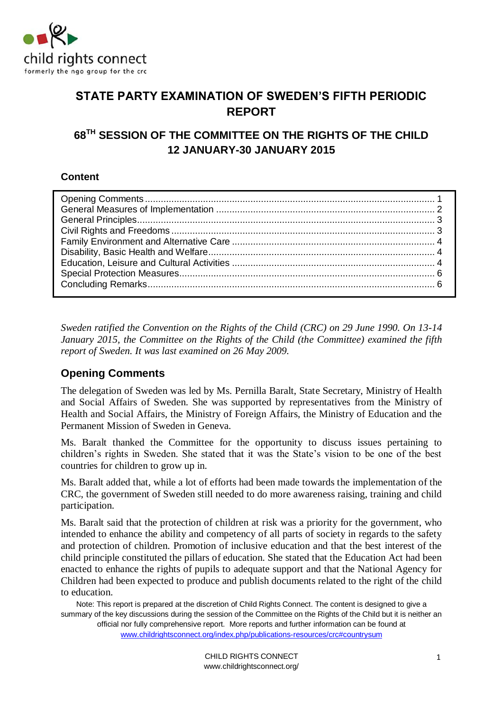

# **STATE PARTY EXAMINATION OF SWEDEN'S FIFTH PERIODIC REPORT**

# **68TH SESSION OF THE COMMITTEE ON THE RIGHTS OF THE CHILD 12 JANUARY-30 JANUARY 2015**

# **Content**

<span id="page-0-0"></span>*Sweden ratified the Convention on the Rights of the Child (CRC) on 29 June 1990. On 13-14 January 2015, the Committee on the Rights of the Child (the Committee) examined the fifth report of Sweden. It was last examined on 26 May 2009.*

# **Opening Comments**

The delegation of Sweden was led by Ms. Pernilla Baralt, State Secretary, Ministry of Health and Social Affairs of Sweden. She was supported by representatives from the Ministry of Health and Social Affairs, the Ministry of Foreign Affairs, the Ministry of Education and the Permanent Mission of Sweden in Geneva.

Ms. Baralt thanked the Committee for the opportunity to discuss issues pertaining to children's rights in Sweden. She stated that it was the State's vision to be one of the best countries for children to grow up in.

Ms. Baralt added that, while a lot of efforts had been made towards the implementation of the CRC, the government of Sweden still needed to do more awareness raising, training and child participation.

Ms. Baralt said that the protection of children at risk was a priority for the government, who intended to enhance the ability and competency of all parts of society in regards to the safety and protection of children. Promotion of inclusive education and that the best interest of the child principle constituted the pillars of education. She stated that the Education Act had been enacted to enhance the rights of pupils to adequate support and that the National Agency for Children had been expected to produce and publish documents related to the right of the child to education.

Note: This report is prepared at the discretion of Child Rights Connect. The content is designed to give a summary of the key discussions during the session of the Committee on the Rights of the Child but it is neither an official nor fully comprehensive report. More reports and further information can be found at

www.childrightsconnect.org/index.php/publications-resources/crc#countrysum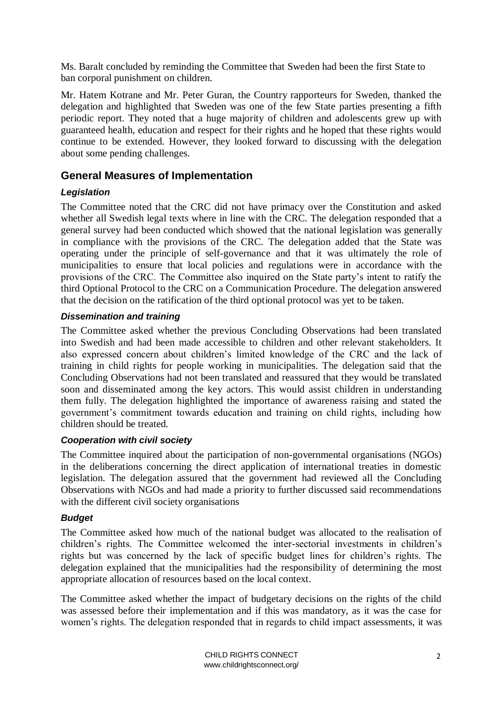<span id="page-1-0"></span>Ms. Baralt concluded by reminding the Committee that Sweden had been the first State to ban corporal punishment on children.

Mr. Hatem Kotrane and Mr. Peter Guran, the Country rapporteurs for Sweden, thanked the delegation and highlighted that Sweden was one of the few State parties presenting a fifth periodic report. They noted that a huge majority of children and adolescents grew up with guaranteed health, education and respect for their rights and he hoped that these rights would continue to be extended. However, they looked forward to discussing with the delegation about some pending challenges.

# **General Measures of Implementation**

### *Legislation*

The Committee noted that the CRC did not have primacy over the Constitution and asked whether all Swedish legal texts where in line with the CRC. The delegation responded that a general survey had been conducted which showed that the national legislation was generally in compliance with the provisions of the CRC. The delegation added that the State was operating under the principle of self-governance and that it was ultimately the role of municipalities to ensure that local policies and regulations were in accordance with the provisions of the CRC. The Committee also inquired on the State party's intent to ratify the third Optional Protocol to the CRC on a Communication Procedure. The delegation answered that the decision on the ratification of the third optional protocol was yet to be taken.

### *Dissemination and training*

The Committee asked whether the previous Concluding Observations had been translated into Swedish and had been made accessible to children and other relevant stakeholders. It also expressed concern about children's limited knowledge of the CRC and the lack of training in child rights for people working in municipalities. The delegation said that the Concluding Observations had not been translated and reassured that they would be translated soon and disseminated among the key actors. This would assist children in understanding them fully. The delegation highlighted the importance of awareness raising and stated the government's commitment towards education and training on child rights, including how children should be treated.

#### *Cooperation with civil society*

The Committee inquired about the participation of non-governmental organisations (NGOs) in the deliberations concerning the direct application of international treaties in domestic legislation. The delegation assured that the government had reviewed all the Concluding Observations with NGOs and had made a priority to further discussed said recommendations with the different civil society organisations

#### *Budget*

The Committee asked how much of the national budget was allocated to the realisation of children's rights. The Committee welcomed the inter-sectorial investments in children's rights but was concerned by the lack of specific budget lines for children's rights. The delegation explained that the municipalities had the responsibility of determining the most appropriate allocation of resources based on the local context.

The Committee asked whether the impact of budgetary decisions on the rights of the child was assessed before their implementation and if this was mandatory, as it was the case for women's rights. The delegation responded that in regards to child impact assessments, it was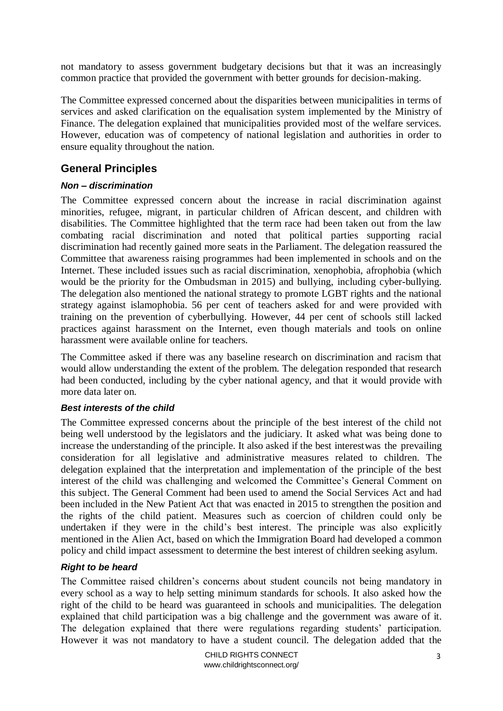not mandatory to assess government budgetary decisions but that it was an increasingly common practice that provided the government with better grounds for decision-making.

<span id="page-2-0"></span>The Committee expressed concerned about the disparities between municipalities in terms of services and asked clarification on the equalisation system implemented by the Ministry of Finance. The delegation explained that municipalities provided most of the welfare services. However, education was of competency of national legislation and authorities in order to ensure equality throughout the nation.

# **General Principles**

### *Non – discrimination*

The Committee expressed concern about the increase in racial discrimination against minorities, refugee, migrant, in particular children of African descent, and children with disabilities. The Committee highlighted that the term race had been taken out from the law combating racial discrimination and noted that political parties supporting racial discrimination had recently gained more seats in the Parliament. The delegation reassured the Committee that awareness raising programmes had been implemented in schools and on the Internet. These included issues such as racial discrimination, xenophobia, afrophobia (which would be the priority for the Ombudsman in 2015) and bullying, including cyber-bullying. The delegation also mentioned the national strategy to promote LGBT rights and the national strategy against islamophobia. 56 per cent of teachers asked for and were provided with training on the prevention of cyberbullying. However, 44 per cent of schools still lacked practices against harassment on the Internet, even though materials and tools on online harassment were available online for teachers.

The Committee asked if there was any baseline research on discrimination and racism that would allow understanding the extent of the problem. The delegation responded that research had been conducted, including by the cyber national agency, and that it would provide with more data later on.

#### *Best interests of the child*

The Committee expressed concerns about the principle of the best interest of the child not being well understood by the legislators and the judiciary. It asked what was being done to increase the understanding of the principle. It also asked if the best interestwas the prevailing consideration for all legislative and administrative measures related to children. The delegation explained that the interpretation and implementation of the principle of the best interest of the child was challenging and welcomed the Committee's General Comment on this subject. The General Comment had been used to amend the Social Services Act and had been included in the New Patient Act that was enacted in 2015 to strengthen the position and the rights of the child patient. Measures such as coercion of children could only be undertaken if they were in the child's best interest. The principle was also explicitly mentioned in the Alien Act, based on which the Immigration Board had developed a common policy and child impact assessment to determine the best interest of children seeking asylum.

#### *Right to be heard*

<span id="page-2-1"></span>The Committee raised children's concerns about student councils not being mandatory in every school as a way to help setting minimum standards for schools. It also asked how the right of the child to be heard was guaranteed in schools and municipalities. The delegation explained that child participation was a big challenge and the government was aware of it. The delegation explained that there were regulations regarding students' participation. However it was not mandatory to have a student council. The delegation added that the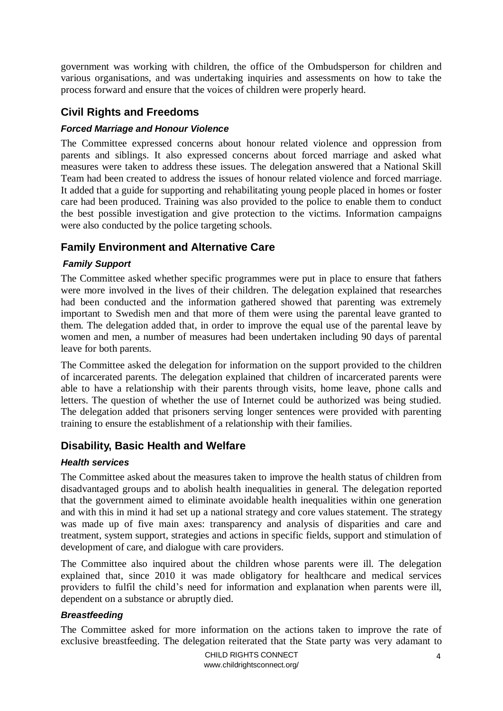government was working with children, the office of the Ombudsperson for children and various organisations, and was undertaking inquiries and assessments on how to take the process forward and ensure that the voices of children were properly heard.

# **Civil Rights and Freedoms**

#### *Forced Marriage and Honour Violence*

The Committee expressed concerns about honour related violence and oppression from parents and siblings. It also expressed concerns about forced marriage and asked what measures were taken to address these issues. The delegation answered that a National Skill Team had been created to address the issues of honour related violence and forced marriage. It added that a guide for supporting and rehabilitating young people placed in homes or foster care had been produced. Training was also provided to the police to enable them to conduct the best possible investigation and give protection to the victims. Information campaigns were also conducted by the police targeting schools.

## <span id="page-3-0"></span>**Family Environment and Alternative Care**

#### *Family Support*

The Committee asked whether specific programmes were put in place to ensure that fathers were more involved in the lives of their children. The delegation explained that researches had been conducted and the information gathered showed that parenting was extremely important to Swedish men and that more of them were using the parental leave granted to them. The delegation added that, in order to improve the equal use of the parental leave by women and men, a number of measures had been undertaken including 90 days of parental leave for both parents.

<span id="page-3-1"></span>The Committee asked the delegation for information on the support provided to the children of incarcerated parents. The delegation explained that children of incarcerated parents were able to have a relationship with their parents through visits, home leave, phone calls and letters. The question of whether the use of Internet could be authorized was being studied. The delegation added that prisoners serving longer sentences were provided with parenting training to ensure the establishment of a relationship with their families.

## **Disability, Basic Health and Welfare**

#### *Health services*

The Committee asked about the measures taken to improve the health status of children from disadvantaged groups and to abolish health inequalities in general. The delegation reported that the government aimed to eliminate avoidable health inequalities within one generation and with this in mind it had set up a national strategy and core values statement. The strategy was made up of five main axes: transparency and analysis of disparities and care and treatment, system support, strategies and actions in specific fields, support and stimulation of development of care, and dialogue with care providers.

The Committee also inquired about the children whose parents were ill. The delegation explained that, since 2010 it was made obligatory for healthcare and medical services providers to fulfil the child's need for information and explanation when parents were ill, dependent on a substance or abruptly died.

#### *Breastfeeding*

<span id="page-3-2"></span>The Committee asked for more information on the actions taken to improve the rate of exclusive breastfeeding. The delegation reiterated that the State party was very adamant to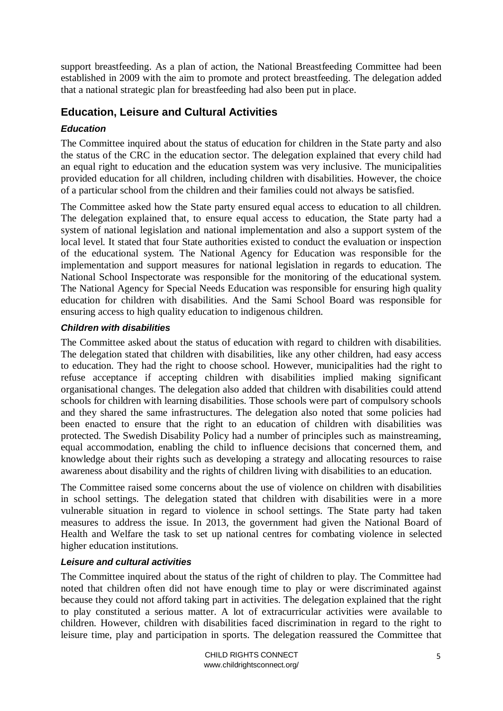support breastfeeding. As a plan of action, the National Breastfeeding Committee had been established in 2009 with the aim to promote and protect breastfeeding. The delegation added that a national strategic plan for breastfeeding had also been put in place.

# **Education, Leisure and Cultural Activities**

## *Education*

The Committee inquired about the status of education for children in the State party and also the status of the CRC in the education sector. The delegation explained that every child had an equal right to education and the education system was very inclusive. The municipalities provided education for all children, including children with disabilities. However, the choice of a particular school from the children and their families could not always be satisfied.

The Committee asked how the State party ensured equal access to education to all children. The delegation explained that, to ensure equal access to education, the State party had a system of national legislation and national implementation and also a support system of the local level. It stated that four State authorities existed to conduct the evaluation or inspection of the educational system. The National Agency for Education was responsible for the implementation and support measures for national legislation in regards to education. The National School Inspectorate was responsible for the monitoring of the educational system. The National Agency for Special Needs Education was responsible for ensuring high quality education for children with disabilities. And the Sami School Board was responsible for ensuring access to high quality education to indigenous children.

#### *Children with disabilities*

The Committee asked about the status of education with regard to children with disabilities. The delegation stated that children with disabilities, like any other children, had easy access to education. They had the right to choose school. However, municipalities had the right to refuse acceptance if accepting children with disabilities implied making significant organisational changes. The delegation also added that children with disabilities could attend schools for children with learning disabilities. Those schools were part of compulsory schools and they shared the same infrastructures. The delegation also noted that some policies had been enacted to ensure that the right to an education of children with disabilities was protected. The Swedish Disability Policy had a number of principles such as mainstreaming, equal accommodation, enabling the child to influence decisions that concerned them, and knowledge about their rights such as developing a strategy and allocating resources to raise awareness about disability and the rights of children living with disabilities to an education.

The Committee raised some concerns about the use of violence on children with disabilities in school settings. The delegation stated that children with disabilities were in a more vulnerable situation in regard to violence in school settings. The State party had taken measures to address the issue. In 2013, the government had given the National Board of Health and Welfare the task to set up national centres for combating violence in selected higher education institutions.

#### *Leisure and cultural activities*

The Committee inquired about the status of the right of children to play. The Committee had noted that children often did not have enough time to play or were discriminated against because they could not afford taking part in activities. The delegation explained that the right to play constituted a serious matter. A lot of extracurricular activities were available to children. However, children with disabilities faced discrimination in regard to the right to leisure time, play and participation in sports. The delegation reassured the Committee that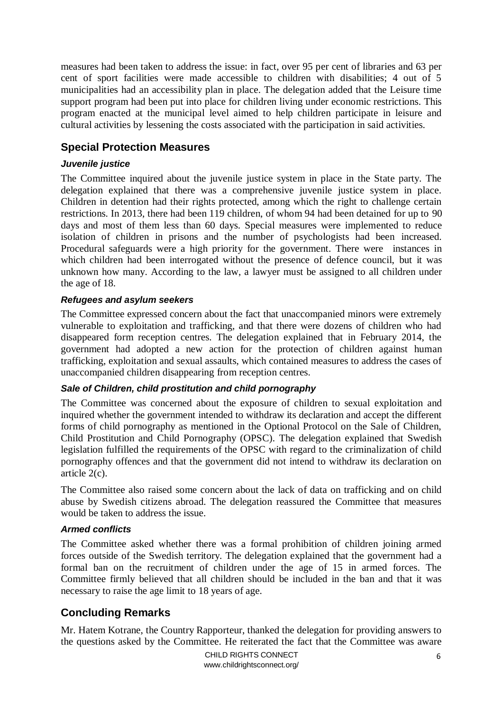measures had been taken to address the issue: in fact, over 95 per cent of libraries and 63 per cent of sport facilities were made accessible to children with disabilities; 4 out of 5 municipalities had an accessibility plan in place. The delegation added that the Leisure time support program had been put into place for children living under economic restrictions. This program enacted at the municipal level aimed to help children participate in leisure and cultural activities by lessening the costs associated with the participation in said activities.

# <span id="page-5-0"></span>**Special Protection Measures**

#### *Juvenile justice*

The Committee inquired about the juvenile justice system in place in the State party. The delegation explained that there was a comprehensive juvenile justice system in place. Children in detention had their rights protected, among which the right to challenge certain restrictions. In 2013, there had been 119 children, of whom 94 had been detained for up to 90 days and most of them less than 60 days. Special measures were implemented to reduce isolation of children in prisons and the number of psychologists had been increased. Procedural safeguards were a high priority for the government. There were instances in which children had been interrogated without the presence of defence council, but it was unknown how many. According to the law, a lawyer must be assigned to all children under the age of 18.

#### *Refugees and asylum seekers*

The Committee expressed concern about the fact that unaccompanied minors were extremely vulnerable to exploitation and trafficking, and that there were dozens of children who had disappeared form reception centres. The delegation explained that in February 2014, the government had adopted a new action for the protection of children against human trafficking, exploitation and sexual assaults, which contained measures to address the cases of unaccompanied children disappearing from reception centres.

#### *Sale of Children, child prostitution and child pornography*

The Committee was concerned about the exposure of children to sexual exploitation and inquired whether the government intended to withdraw its declaration and accept the different forms of child pornography as mentioned in the Optional Protocol on the Sale of Children, Child Prostitution and Child Pornography (OPSC). The delegation explained that Swedish legislation fulfilled the requirements of the OPSC with regard to the criminalization of child pornography offences and that the government did not intend to withdraw its declaration on article 2(c).

The Committee also raised some concern about the lack of data on trafficking and on child abuse by Swedish citizens abroad. The delegation reassured the Committee that measures would be taken to address the issue.

#### *Armed conflicts*

<span id="page-5-1"></span>The Committee asked whether there was a formal prohibition of children joining armed forces outside of the Swedish territory. The delegation explained that the government had a formal ban on the recruitment of children under the age of 15 in armed forces. The Committee firmly believed that all children should be included in the ban and that it was necessary to raise the age limit to 18 years of age.

# **Concluding Remarks**

Mr. Hatem Kotrane, the Country Rapporteur, thanked the delegation for providing answers to the questions asked by the Committee. He reiterated the fact that the Committee was aware